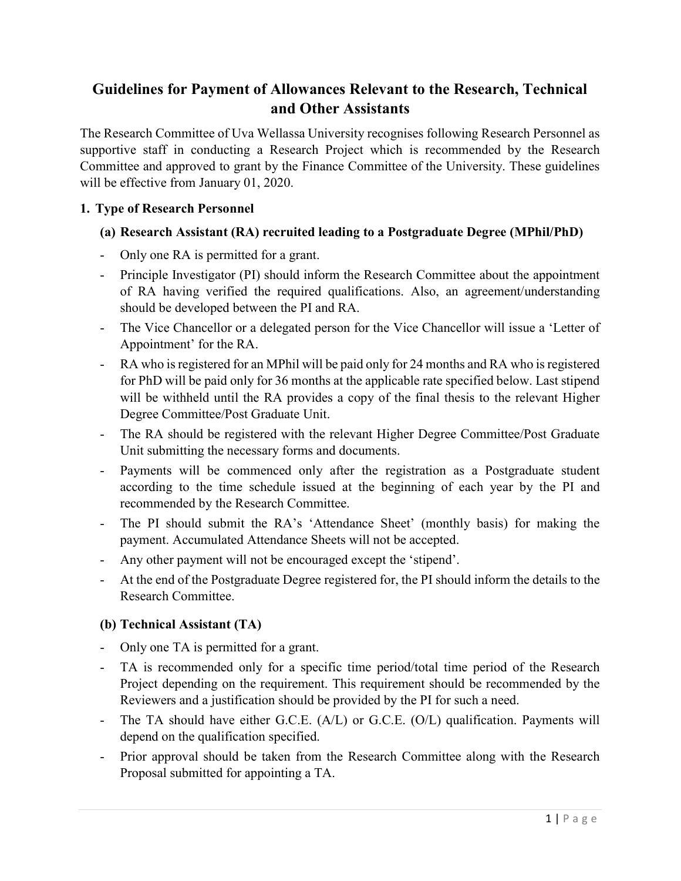# Guidelines for Payment of Allowances Relevant to the Research, Technical and Other Assistants

The Research Committee of Uva Wellassa University recognises following Research Personnel as supportive staff in conducting a Research Project which is recommended by the Research Committee and approved to grant by the Finance Committee of the University. These guidelines will be effective from January 01, 2020.

# 1. Type of Research Personnel

### (a) Research Assistant (RA) recruited leading to a Postgraduate Degree (MPhil/PhD)

- Only one RA is permitted for a grant.
- Principle Investigator (PI) should inform the Research Committee about the appointment of RA having verified the required qualifications. Also, an agreement/understanding should be developed between the PI and RA.
- The Vice Chancellor or a delegated person for the Vice Chancellor will issue a 'Letter of Appointment' for the RA.
- RA who is registered for an MPhil will be paid only for 24 months and RA who is registered for PhD will be paid only for 36 months at the applicable rate specified below. Last stipend will be withheld until the RA provides a copy of the final thesis to the relevant Higher Degree Committee/Post Graduate Unit.
- The RA should be registered with the relevant Higher Degree Committee/Post Graduate Unit submitting the necessary forms and documents.
- Payments will be commenced only after the registration as a Postgraduate student according to the time schedule issued at the beginning of each year by the PI and recommended by the Research Committee.
- The PI should submit the RA's 'Attendance Sheet' (monthly basis) for making the payment. Accumulated Attendance Sheets will not be accepted.
- Any other payment will not be encouraged except the 'stipend'.
- At the end of the Postgraduate Degree registered for, the PI should inform the details to the Research Committee.

# (b) Technical Assistant (TA)

- Only one TA is permitted for a grant.
- TA is recommended only for a specific time period/total time period of the Research Project depending on the requirement. This requirement should be recommended by the Reviewers and a justification should be provided by the PI for such a need.
- The TA should have either G.C.E. (A/L) or G.C.E. (O/L) qualification. Payments will depend on the qualification specified.
- Prior approval should be taken from the Research Committee along with the Research Proposal submitted for appointing a TA.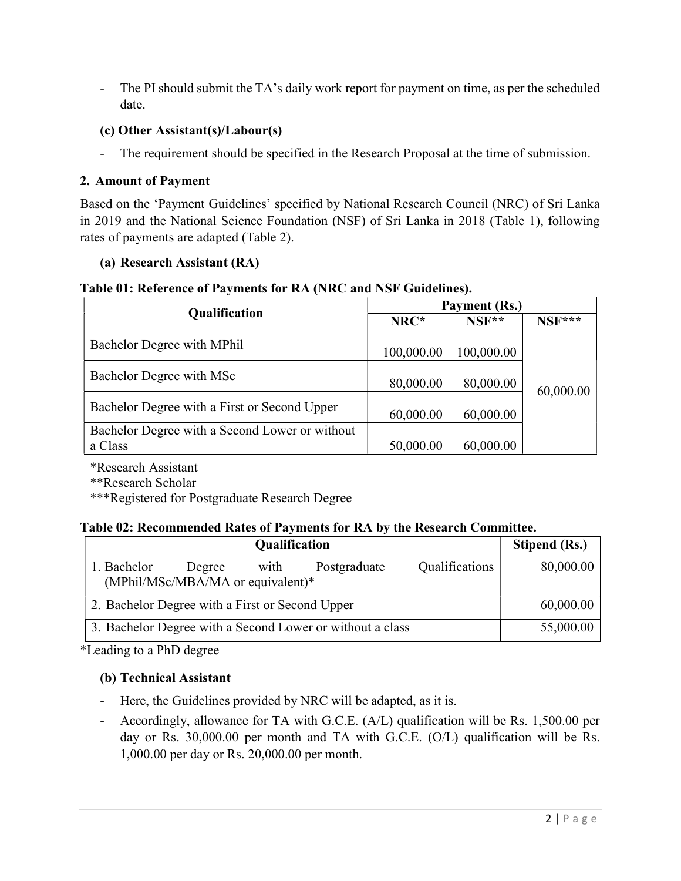- The PI should submit the TA's daily work report for payment on time, as per the scheduled date.

# (c) Other Assistant(s)/Labour(s)

- The requirement should be specified in the Research Proposal at the time of submission.

### 2. Amount of Payment

Based on the 'Payment Guidelines' specified by National Research Council (NRC) of Sri Lanka in 2019 and the National Science Foundation (NSF) of Sri Lanka in 2018 (Table 1), following rates of payments are adapted (Table 2).

### (a) Research Assistant (RA)

### Table 01: Reference of Payments for RA (NRC and NSF Guidelines).

|                                                | Payment (Rs.) |            |           |
|------------------------------------------------|---------------|------------|-----------|
| Qualification                                  | NRC*          | $NSF**$    | $NSF***$  |
| Bachelor Degree with MPhil                     | 100,000.00    | 100,000.00 |           |
| Bachelor Degree with MSc                       | 80,000.00     | 80,000.00  | 60,000.00 |
| Bachelor Degree with a First or Second Upper   | 60,000.00     | 60,000.00  |           |
| Bachelor Degree with a Second Lower or without |               |            |           |
| a Class                                        | 50,000.00     | 60,000.00  |           |

\*Research Assistant

\*\*Research Scholar

\*\*\*Registered for Postgraduate Research Degree

#### Table 02: Recommended Rates of Payments for RA by the Research Committee.

| Qualification                                             |        |      |              |                | Stipend (Rs.) |
|-----------------------------------------------------------|--------|------|--------------|----------------|---------------|
| 1. Bachelor                                               | Degree | with | Postgraduate | Qualifications | 80,000.00     |
| (MPhil/MSc/MBA/MA or equivalent)*                         |        |      |              |                |               |
| 2. Bachelor Degree with a First or Second Upper           |        |      |              |                | 60,000.00     |
| 3. Bachelor Degree with a Second Lower or without a class |        |      |              | 55,000.00      |               |

\*Leading to a PhD degree

# (b) Technical Assistant

- Here, the Guidelines provided by NRC will be adapted, as it is.
- Accordingly, allowance for TA with G.C.E. (A/L) qualification will be Rs. 1,500.00 per day or Rs. 30,000.00 per month and TA with G.C.E. (O/L) qualification will be Rs. 1,000.00 per day or Rs. 20,000.00 per month.